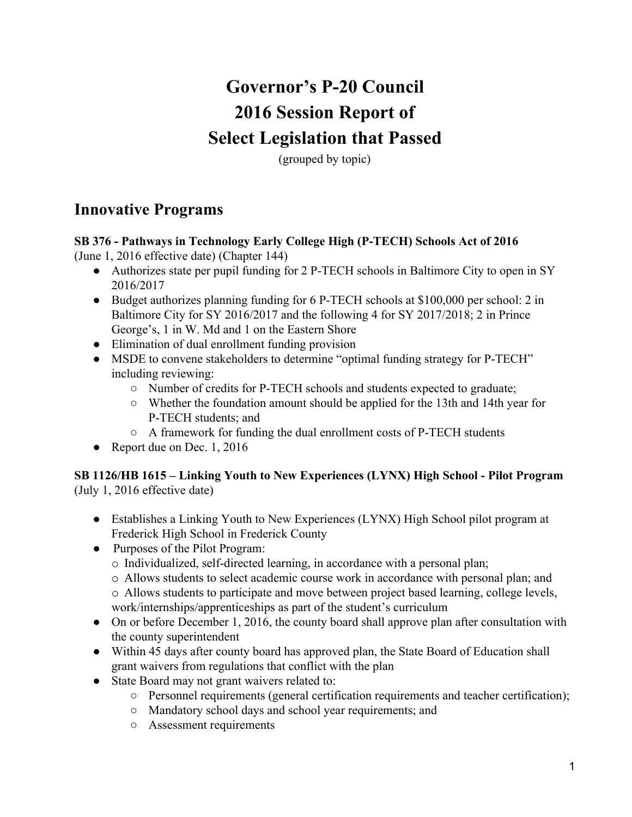# **Governor's P20 Council 2016 Session Report of Select Legislation that Passed**

(grouped by topic)

### **Innovative Programs**

#### **SB 376 Pathways in Technology Early College High (PTECH) Schools Act of 2016** (June 1, 2016 effective date) (Chapter 144)

- Authorizes state per pupil funding for 2 P-TECH schools in Baltimore City to open in SY 2016/2017
- Budget authorizes planning funding for 6 P-TECH schools at \$100,000 per school: 2 in Baltimore City for SY 2016/2017 and the following 4 for SY 2017/2018; 2 in Prince George's, 1 in W. Md and 1 on the Eastern Shore
- Elimination of dual enrollment funding provision
- MSDE to convene stakeholders to determine "optimal funding strategy for P-TECH" including reviewing:
	- Number of credits for PTECH schools and students expected to graduate;
	- Whether the foundation amount should be applied for the 13th and 14th year for P-TECH students; and
	- A framework for funding the dual enrollment costs of P-TECH students
- Report due on Dec. 1, 2016

#### **SB 1126/HB 1615 – Linking Youth to New Experiences (LYNX) High School Pilot Program** (July 1, 2016 effective date)

- Establishes a Linking Youth to New Experiences (LYNX) High School pilot program at Frederick High School in Frederick County
- Purposes of the Pilot Program:
	- $\circ$  Individualized, self-directed learning, in accordance with a personal plan;
	- o Allows students to select academic course work in accordance with personal plan; and
	- o Allows students to participate and move between project based learning, college levels, work/internships/apprenticeships as part of the student's curriculum
- On or before December 1, 2016, the county board shall approve plan after consultation with the county superintendent
- Within 45 days after county board has approved plan, the State Board of Education shall grant waivers from regulations that conflict with the plan
- State Board may not grant waivers related to:
	- Personnel requirements (general certification requirements and teacher certification);
	- Mandatory school days and school year requirements; and
	- Assessment requirements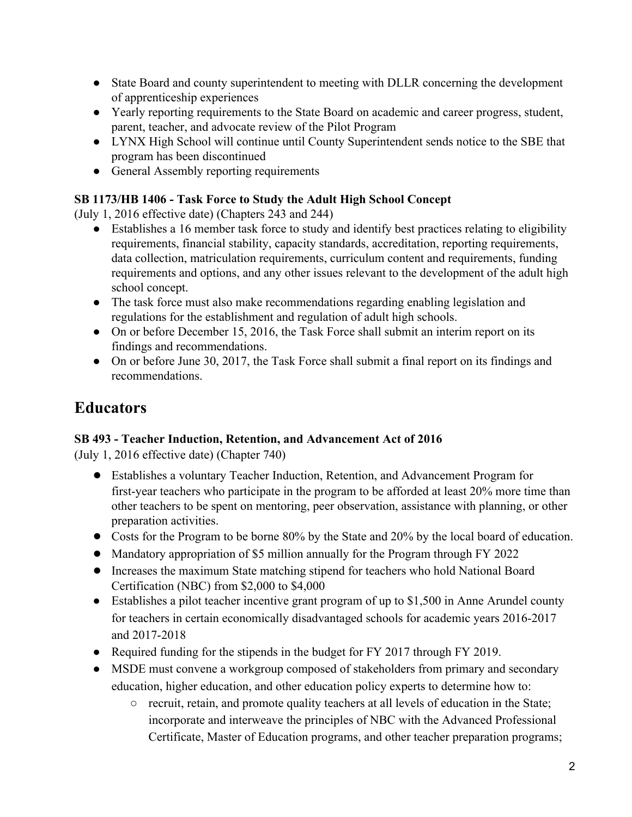- State Board and county superintendent to meeting with DLLR concerning the development of apprenticeship experiences
- Yearly reporting requirements to the State Board on academic and career progress, student, parent, teacher, and advocate review of the Pilot Program
- LYNX High School will continue until County Superintendent sends notice to the SBE that program has been discontinued
- General Assembly reporting requirements

#### **SB 1173/HB 1406 Task Force to Study the Adult High School Concept**

(July 1, 2016 effective date) (Chapters 243 and 244)

- Establishes a 16 member task force to study and identify best practices relating to eligibility requirements, financial stability, capacity standards, accreditation, reporting requirements, data collection, matriculation requirements, curriculum content and requirements, funding requirements and options, and any other issues relevant to the development of the adult high school concept.
- The task force must also make recommendations regarding enabling legislation and regulations for the establishment and regulation of adult high schools.
- On or before December 15, 2016, the Task Force shall submit an interim report on its findings and recommendations.
- On or before June 30, 2017, the Task Force shall submit a final report on its findings and recommendations.

### **Educators**

#### **SB 493 Teacher Induction, Retention, and Advancement Act of 2016**

(July 1, 2016 effective date) (Chapter 740)

- Establishes a voluntary Teacher Induction, Retention, and Advancement Program for first-year teachers who participate in the program to be afforded at least 20% more time than other teachers to be spent on mentoring, peer observation, assistance with planning, or other preparation activities.
- Costs for the Program to be borne 80% by the State and 20% by the local board of education.
- Mandatory appropriation of \$5 million annually for the Program through FY 2022
- Increases the maximum State matching stipend for teachers who hold National Board Certification (NBC) from \$2,000 to \$4,000
- Establishes a pilot teacher incentive grant program of up to \$1,500 in Anne Arundel county for teachers in certain economically disadvantaged schools for academic years 2016-2017 and 2017-2018
- Required funding for the stipends in the budget for FY 2017 through FY 2019.
- MSDE must convene a workgroup composed of stakeholders from primary and secondary education, higher education, and other education policy experts to determine how to:
	- recruit, retain, and promote quality teachers at all levels of education in the State; incorporate and interweave the principles of NBC with the Advanced Professional Certificate, Master of Education programs, and other teacher preparation programs;